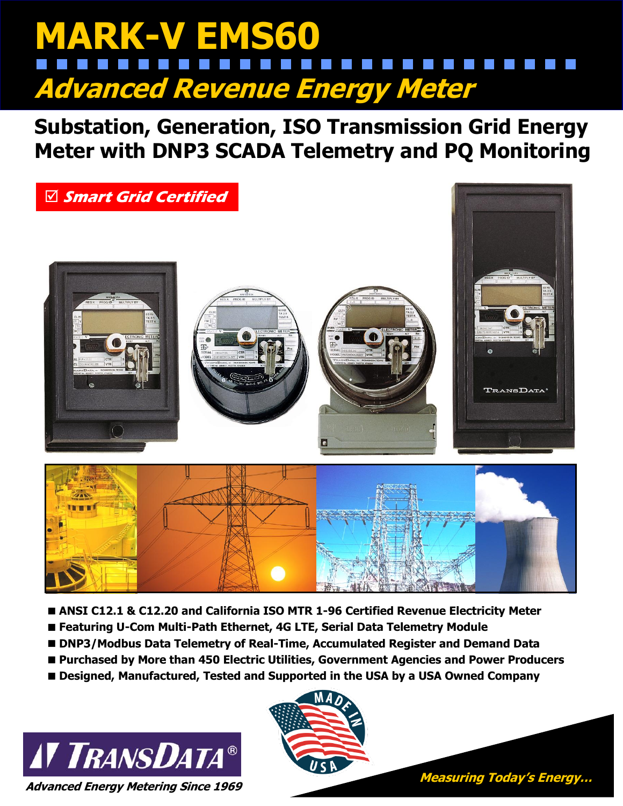# **MARK-V EMS60 Advanced Revenue Energy Meter**

**Substation, Generation, ISO Transmission Grid Energy Meter with DNP3 SCADA Telemetry and PQ Monitoring**



- **ANSI C12.1 & C12.20 and California ISO MTR 1-96 Certified Revenue Electricity Meter**
- **Featuring U-Com Multi-Path Ethernet, 4G LTE, Serial Data Telemetry Module**
- **DNP3/Modbus Data Telemetry of Real-Time, Accumulated Register and Demand Data**
- **Purchased by More than 450 Electric Utilities, Government Agencies and Power Producers**
- **Designed, Manufactured, Tested and Supported in the USA by a USA Owned Company**